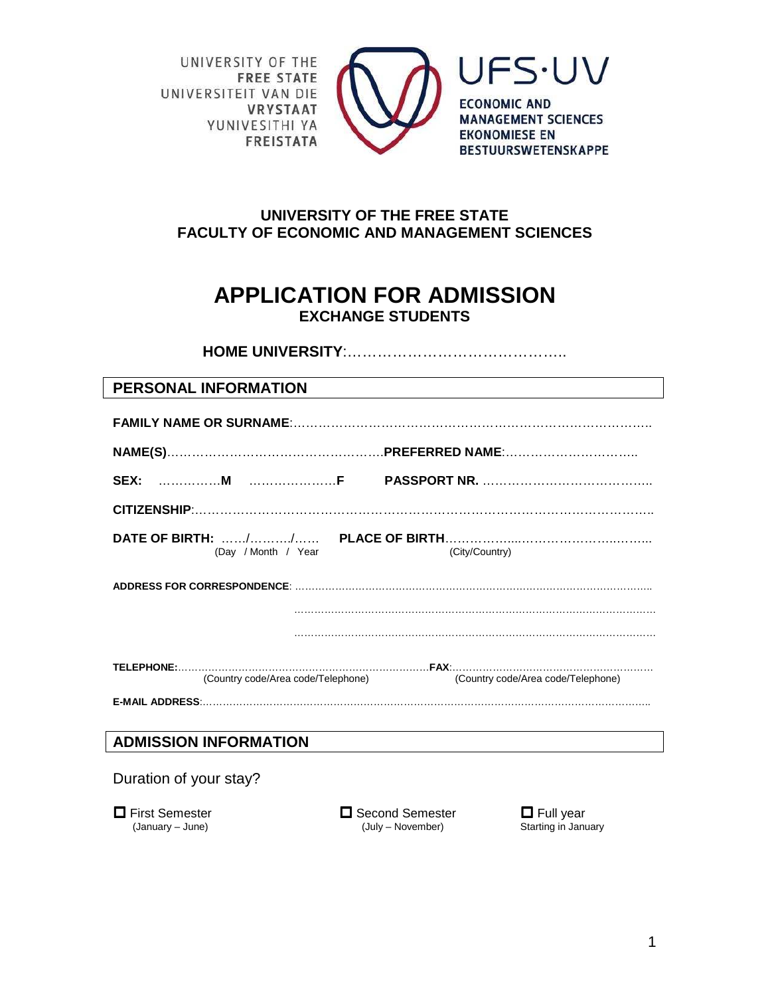UNIVERSITY OF THE **FREE STATE** UNIVERSITEIT VAN DIE **VRYSTAAT** YUNIVESITHI YA **FREISTATA** 



**UFS.UV ECONOMIC AND MANAGEMENT SCIENCES EKONOMIESE EN BESTUURSWETENSKAPPE** 

## **UNIVERSITY OF THE FREE STATE FACULTY OF ECONOMIC AND MANAGEMENT SCIENCES**

# **APPLICATION FOR ADMISSION EXCHANGE STUDENTS**

**HOME UNIVERSITY**:……………………………………..

## **PERSONAL INFORMATION**

| (Day / Month / Year<br>(City/Country)                                 |  |  |  |  |  |
|-----------------------------------------------------------------------|--|--|--|--|--|
|                                                                       |  |  |  |  |  |
|                                                                       |  |  |  |  |  |
|                                                                       |  |  |  |  |  |
| (Country code/Area code/Telephone) (Country code/Area code/Telephone) |  |  |  |  |  |
|                                                                       |  |  |  |  |  |
| <b>ADMISSION INFORMATION</b>                                          |  |  |  |  |  |
| Duration of your stay?                                                |  |  |  |  |  |

 $\Box$  First Semester  $\Box$  Second Semester  $\Box$  Full year (January – June)  $\Box$  Full year (July – November) Starting in January (July – November)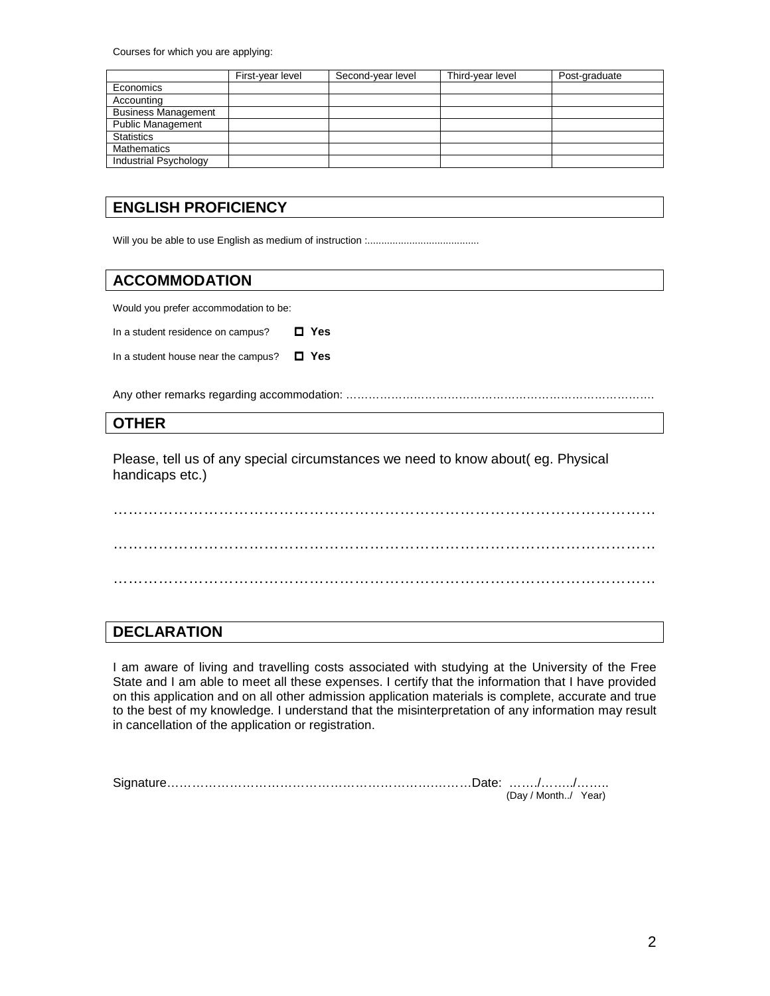Courses for which you are applying:

|                            | First-year level | Second-year level | Third-year level | Post-graduate |
|----------------------------|------------------|-------------------|------------------|---------------|
| Economics                  |                  |                   |                  |               |
| Accounting                 |                  |                   |                  |               |
| <b>Business Management</b> |                  |                   |                  |               |
| <b>Public Management</b>   |                  |                   |                  |               |
| <b>Statistics</b>          |                  |                   |                  |               |
| <b>Mathematics</b>         |                  |                   |                  |               |
| Industrial Psychology      |                  |                   |                  |               |

## **ENGLISH PROFICIENCY**

Will you be able to use English as medium of instruction :........................................

#### **ACCOMMODATION**

Would you prefer accommodation to be:

In a student residence on campus?  **Yes**

In a student house near the campus?  **Yes**

Any other remarks regarding accommodation: ……………………………………………………………………….

#### **OTHER**

Please, tell us of any special circumstances we need to know about( eg. Physical handicaps etc.)

……………………………………………………………………………………………… ………………………………………………………………………………………………

### **DECLARATION**

I am aware of living and travelling costs associated with studying at the University of the Free State and I am able to meet all these expenses. I certify that the information that I have provided on this application and on all other admission application materials is complete, accurate and true to the best of my knowledge. I understand that the misinterpretation of any information may result in cancellation of the application or registration.

| (Dav / Month/ | Year) |
|---------------|-------|